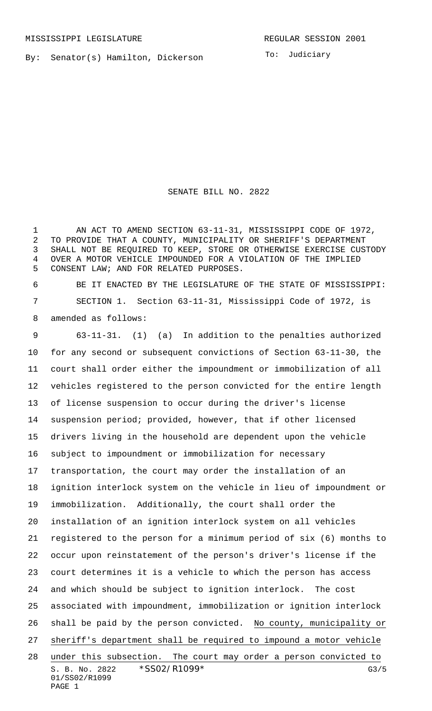By: Senator(s) Hamilton, Dickerson

To: Judiciary

SENATE BILL NO. 2822

1 AN ACT TO AMEND SECTION 63-11-31, MISSISSIPPI CODE OF 1972, TO PROVIDE THAT A COUNTY, MUNICIPALITY OR SHERIFF'S DEPARTMENT SHALL NOT BE REQUIRED TO KEEP, STORE OR OTHERWISE EXERCISE CUSTODY OVER A MOTOR VEHICLE IMPOUNDED FOR A VIOLATION OF THE IMPLIED CONSENT LAW; AND FOR RELATED PURPOSES.

 BE IT ENACTED BY THE LEGISLATURE OF THE STATE OF MISSISSIPPI: SECTION 1. Section 63-11-31, Mississippi Code of 1972, is amended as follows:

S. B. No. 2822 \* SS02/R1099\* G3/5 01/SS02/R1099 63-11-31. (1) (a) In addition to the penalties authorized for any second or subsequent convictions of Section 63-11-30, the court shall order either the impoundment or immobilization of all vehicles registered to the person convicted for the entire length of license suspension to occur during the driver's license suspension period; provided, however, that if other licensed drivers living in the household are dependent upon the vehicle subject to impoundment or immobilization for necessary transportation, the court may order the installation of an ignition interlock system on the vehicle in lieu of impoundment or immobilization. Additionally, the court shall order the installation of an ignition interlock system on all vehicles registered to the person for a minimum period of six (6) months to occur upon reinstatement of the person's driver's license if the court determines it is a vehicle to which the person has access and which should be subject to ignition interlock. The cost associated with impoundment, immobilization or ignition interlock shall be paid by the person convicted. No county, municipality or sheriff's department shall be required to impound a motor vehicle under this subsection. The court may order a person convicted to

```
PAGE 1
```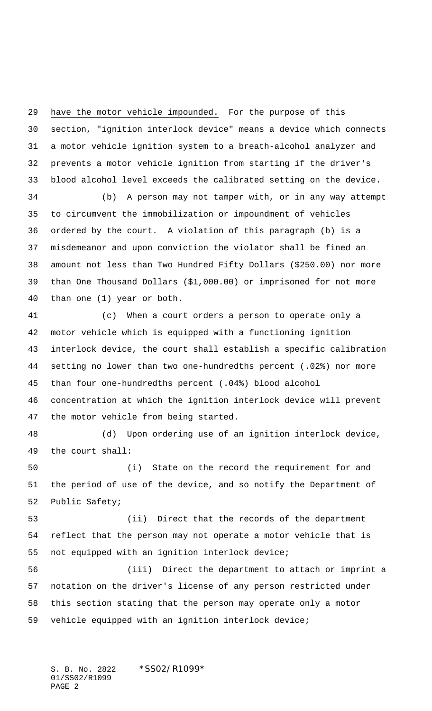have the motor vehicle impounded. For the purpose of this section, "ignition interlock device" means a device which connects a motor vehicle ignition system to a breath-alcohol analyzer and prevents a motor vehicle ignition from starting if the driver's blood alcohol level exceeds the calibrated setting on the device.

 (b) A person may not tamper with, or in any way attempt to circumvent the immobilization or impoundment of vehicles ordered by the court. A violation of this paragraph (b) is a misdemeanor and upon conviction the violator shall be fined an amount not less than Two Hundred Fifty Dollars (\$250.00) nor more than One Thousand Dollars (\$1,000.00) or imprisoned for not more than one (1) year or both.

 (c) When a court orders a person to operate only a motor vehicle which is equipped with a functioning ignition interlock device, the court shall establish a specific calibration setting no lower than two one-hundredths percent (.02%) nor more than four one-hundredths percent (.04%) blood alcohol concentration at which the ignition interlock device will prevent the motor vehicle from being started.

 (d) Upon ordering use of an ignition interlock device, the court shall:

 (i) State on the record the requirement for and the period of use of the device, and so notify the Department of Public Safety;

 (ii) Direct that the records of the department reflect that the person may not operate a motor vehicle that is not equipped with an ignition interlock device;

 (iii) Direct the department to attach or imprint a notation on the driver's license of any person restricted under this section stating that the person may operate only a motor vehicle equipped with an ignition interlock device;

S. B. No. 2822 \*SS02/R1099\* 01/SS02/R1099 PAGE 2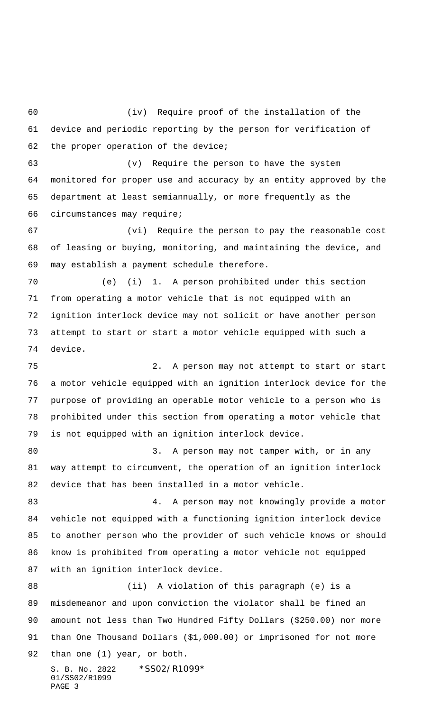(iv) Require proof of the installation of the device and periodic reporting by the person for verification of the proper operation of the device;

 (v) Require the person to have the system monitored for proper use and accuracy by an entity approved by the department at least semiannually, or more frequently as the circumstances may require;

 (vi) Require the person to pay the reasonable cost of leasing or buying, monitoring, and maintaining the device, and may establish a payment schedule therefore.

 (e) (i) 1. A person prohibited under this section from operating a motor vehicle that is not equipped with an ignition interlock device may not solicit or have another person attempt to start or start a motor vehicle equipped with such a device.

 2. A person may not attempt to start or start a motor vehicle equipped with an ignition interlock device for the purpose of providing an operable motor vehicle to a person who is prohibited under this section from operating a motor vehicle that is not equipped with an ignition interlock device.

80 3. A person may not tamper with, or in any way attempt to circumvent, the operation of an ignition interlock device that has been installed in a motor vehicle.

 4. A person may not knowingly provide a motor vehicle not equipped with a functioning ignition interlock device to another person who the provider of such vehicle knows or should know is prohibited from operating a motor vehicle not equipped with an ignition interlock device.

 (ii) A violation of this paragraph (e) is a misdemeanor and upon conviction the violator shall be fined an amount not less than Two Hundred Fifty Dollars (\$250.00) nor more than One Thousand Dollars (\$1,000.00) or imprisoned for not more than one (1) year, or both.

S. B. No. 2822 \* SS02/R1099\* 01/SS02/R1099 PAGE 3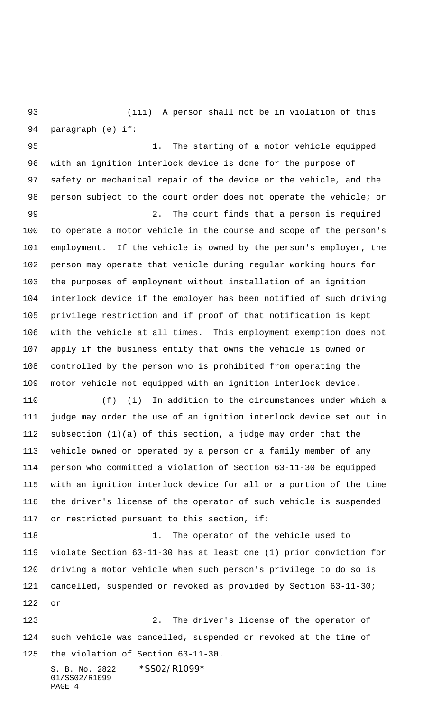(iii) A person shall not be in violation of this paragraph (e) if:

 1. The starting of a motor vehicle equipped with an ignition interlock device is done for the purpose of safety or mechanical repair of the device or the vehicle, and the person subject to the court order does not operate the vehicle; or 2. The court finds that a person is required

 to operate a motor vehicle in the course and scope of the person's employment. If the vehicle is owned by the person's employer, the person may operate that vehicle during regular working hours for the purposes of employment without installation of an ignition interlock device if the employer has been notified of such driving privilege restriction and if proof of that notification is kept with the vehicle at all times. This employment exemption does not apply if the business entity that owns the vehicle is owned or controlled by the person who is prohibited from operating the motor vehicle not equipped with an ignition interlock device.

 (f) (i) In addition to the circumstances under which a judge may order the use of an ignition interlock device set out in subsection (1)(a) of this section, a judge may order that the vehicle owned or operated by a person or a family member of any person who committed a violation of Section 63-11-30 be equipped with an ignition interlock device for all or a portion of the time the driver's license of the operator of such vehicle is suspended or restricted pursuant to this section, if:

118 118 1. The operator of the vehicle used to violate Section 63-11-30 has at least one (1) prior conviction for driving a motor vehicle when such person's privilege to do so is cancelled, suspended or revoked as provided by Section 63-11-30; or

 2. The driver's license of the operator of such vehicle was cancelled, suspended or revoked at the time of the violation of Section 63-11-30.

S. B. No. 2822 \*SS02/R1099\* 01/SS02/R1099 PAGE 4